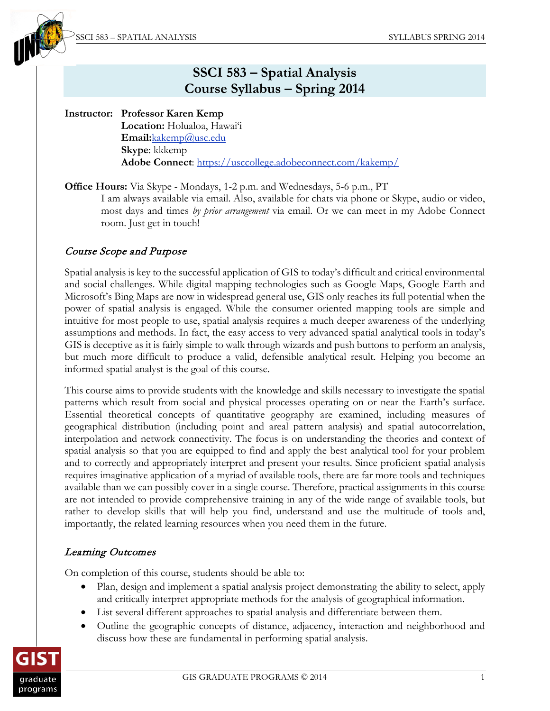

# **SSCI 583 – Spatial Analysis Course Syllabus – Spring 2014**

**Instructor: Professor Karen Kemp Location:** Holualoa, Hawai'i **Email:**[kakemp@usc.edu](mailto:kakemp@usc.edu) **Skype**: kkkemp **Adobe Connect**: <https://usccollege.adobeconnect.com/kakemp/>

**Office Hours:** Via Skype - Mondays, 1-2 p.m. and Wednesdays, 5-6 p.m., PT

I am always available via email. Also, available for chats via phone or Skype, audio or video, most days and times *by prior arrangement* via email. Or we can meet in my Adobe Connect room. Just get in touch!

# Course Scope and Purpose

Spatial analysis is key to the successful application of GIS to today's difficult and critical environmental and social challenges. While digital mapping technologies such as Google Maps, Google Earth and Microsoft's Bing Maps are now in widespread general use, GIS only reaches its full potential when the power of spatial analysis is engaged. While the consumer oriented mapping tools are simple and intuitive for most people to use, spatial analysis requires a much deeper awareness of the underlying assumptions and methods. In fact, the easy access to very advanced spatial analytical tools in today's GIS is deceptive as it is fairly simple to walk through wizards and push buttons to perform an analysis, but much more difficult to produce a valid, defensible analytical result. Helping you become an informed spatial analyst is the goal of this course.

This course aims to provide students with the knowledge and skills necessary to investigate the spatial patterns which result from social and physical processes operating on or near the Earth's surface. Essential theoretical concepts of quantitative geography are examined, including measures of geographical distribution (including point and areal pattern analysis) and spatial autocorrelation, interpolation and network connectivity. The focus is on understanding the theories and context of spatial analysis so that you are equipped to find and apply the best analytical tool for your problem and to correctly and appropriately interpret and present your results. Since proficient spatial analysis requires imaginative application of a myriad of available tools, there are far more tools and techniques available than we can possibly cover in a single course. Therefore, practical assignments in this course are not intended to provide comprehensive training in any of the wide range of available tools, but rather to develop skills that will help you find, understand and use the multitude of tools and, importantly, the related learning resources when you need them in the future.

# Learning Outcomes

On completion of this course, students should be able to:

- Plan, design and implement a spatial analysis project demonstrating the ability to select, apply and critically interpret appropriate methods for the analysis of geographical information.
- List several different approaches to spatial analysis and differentiate between them.
- Outline the geographic concepts of distance, adjacency, interaction and neighborhood and discuss how these are fundamental in performing spatial analysis.

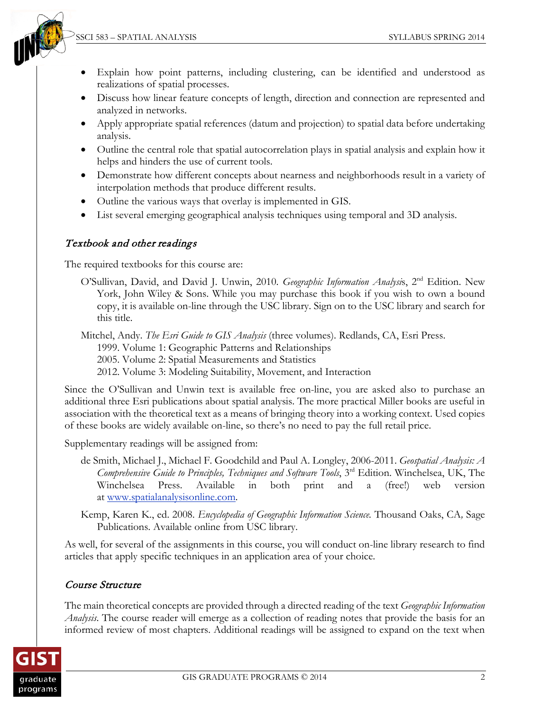

- Explain how point patterns, including clustering, can be identified and understood as realizations of spatial processes.
- Discuss how linear feature concepts of length, direction and connection are represented and analyzed in networks.
- Apply appropriate spatial references (datum and projection) to spatial data before undertaking analysis.
- Outline the central role that spatial autocorrelation plays in spatial analysis and explain how it helps and hinders the use of current tools.
- Demonstrate how different concepts about nearness and neighborhoods result in a variety of interpolation methods that produce different results.
- Outline the various ways that overlay is implemented in GIS.
- List several emerging geographical analysis techniques using temporal and 3D analysis.

# Textbook and other readings

The required textbooks for this course are:

O'Sullivan, David, and David J. Unwin, 2010. *Geographic Information Analysi*s, 2nd Edition. New York, John Wiley & Sons. While you may purchase this book if you wish to own a bound copy, it is available on-line through the USC library. Sign on to the USC library and search for this title*.* 

Mitchel, Andy. *The Esri Guide to GIS Analysis* (three volumes). Redlands, CA, Esri Press. 1999. Volume 1: Geographic Patterns and Relationships 2005. Volume 2: Spatial Measurements and Statistics 2012. Volume 3: Modeling Suitability, Movement, and Interaction

Since the O'Sullivan and Unwin text is available free on-line, you are asked also to purchase an additional three Esri publications about spatial analysis. The more practical Miller books are useful in association with the theoretical text as a means of bringing theory into a working context. Used copies of these books are widely available on-line, so there's no need to pay the full retail price.

Supplementary readings will be assigned from:

- de Smith, Michael J., Michael F. Goodchild and Paul A. Longley, 2006-2011. *Geospatial Analysis: A Comprehensive Guide to Principles, Techniques and Software Tools*, 3rd Edition. Winchelsea, UK, The Winchelsea Press. Available in both print and a (free!) web version at [www.spatialanalysisonline.com.](http://www.spatialanalysisonline.com/)
- Kemp, Karen K., ed. 2008. *Encyclopedia of Geographic Information Science.* Thousand Oaks, CA*,* Sage Publications. Available online from USC library.

As well, for several of the assignments in this course, you will conduct on-line library research to find articles that apply specific techniques in an application area of your choice.

## Course Structure

The main theoretical concepts are provided through a directed reading of the text *Geographic Information Analysis*. The course reader will emerge as a collection of reading notes that provide the basis for an informed review of most chapters. Additional readings will be assigned to expand on the text when

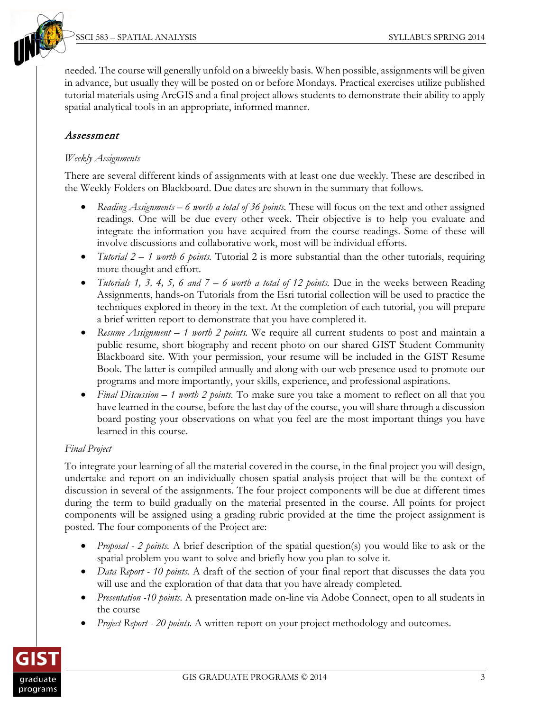

needed. The course will generally unfold on a biweekly basis. When possible, assignments will be given in advance, but usually they will be posted on or before Mondays. Practical exercises utilize published tutorial materials using ArcGIS and a final project allows students to demonstrate their ability to apply spatial analytical tools in an appropriate, informed manner.

#### Assessment

#### *Weekly Assignments*

There are several different kinds of assignments with at least one due weekly. These are described in the Weekly Folders on Blackboard. Due dates are shown in the summary that follows.

- *Reading Assignments 6 worth a total of 36 points.* These will focus on the text and other assigned readings. One will be due every other week. Their objective is to help you evaluate and integrate the information you have acquired from the course readings. Some of these will involve discussions and collaborative work, most will be individual efforts.
- *Tutorial 2 1 worth 6 points*. Tutorial 2 is more substantial than the other tutorials, requiring more thought and effort.
- *Tutorials 1, 3, 4, 5, 6 and 7 6 worth a total of 12 points.* Due in the weeks between Reading Assignments, hands-on Tutorials from the Esri tutorial collection will be used to practice the techniques explored in theory in the text. At the completion of each tutorial, you will prepare a brief written report to demonstrate that you have completed it.
- *Resume Assignment – 1 worth 2 points.* We require all current students to post and maintain a public resume, short biography and recent photo on our shared GIST Student Community Blackboard site. With your permission, your resume will be included in the GIST Resume Book. The latter is compiled annually and along with our web presence used to promote our programs and more importantly, your skills, experience, and professional aspirations.
- *Final Discussion – 1 worth 2 points.* To make sure you take a moment to reflect on all that you have learned in the course, before the last day of the course, you will share through a discussion board posting your observations on what you feel are the most important things you have learned in this course.

#### *Final Project*

To integrate your learning of all the material covered in the course, in the final project you will design, undertake and report on an individually chosen spatial analysis project that will be the context of discussion in several of the assignments. The four project components will be due at different times during the term to build gradually on the material presented in the course. All points for project components will be assigned using a grading rubric provided at the time the project assignment is posted. The four components of the Project are:

- *Proposal - 2 points.* A brief description of the spatial question(s) you would like to ask or the spatial problem you want to solve and briefly how you plan to solve it.
- *Data Report 10 points.* A draft of the section of your final report that discusses the data you will use and the exploration of that data that you have already completed.
- *Presentation -10 points.* A presentation made on-line via Adobe Connect, open to all students in the course
- *Project Report - 20 points.* A written report on your project methodology and outcomes.

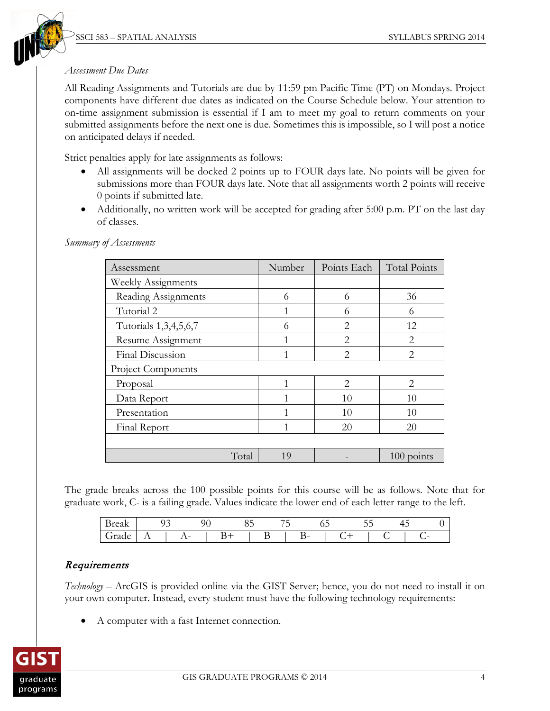

#### *Assessment Due Dates*

All Reading Assignments and Tutorials are due by 11:59 pm Pacific Time (PT) on Mondays. Project components have different due dates as indicated on the Course Schedule below. Your attention to on-time assignment submission is essential if I am to meet my goal to return comments on your submitted assignments before the next one is due. Sometimes this is impossible, so I will post a notice on anticipated delays if needed.

Strict penalties apply for late assignments as follows:

- All assignments will be docked 2 points up to FOUR days late. No points will be given for submissions more than FOUR days late. Note that all assignments worth 2 points will receive 0 points if submitted late.
- Additionally, no written work will be accepted for grading after 5:00 p.m. PT on the last day of classes.

*Summary of Assessments*

| Assessment                | Number       | Points Each                 | <b>Total Points</b> |
|---------------------------|--------------|-----------------------------|---------------------|
| <b>Weekly Assignments</b> |              |                             |                     |
| Reading Assignments       | 6            | 6                           | 36                  |
| Tutorial 2                | 1            | 6                           | 6                   |
| Tutorials 1,3,4,5,6,7     | 6            | 2                           | 12                  |
| Resume Assignment         | $\mathbf{1}$ | 2                           | 2                   |
| Final Discussion          | 1            | $\overline{2}$              | $\overline{2}$      |
| <b>Project Components</b> |              |                             |                     |
| Proposal                  | $\mathbf{1}$ | $\mathcal{D}_{\mathcal{L}}$ | 2                   |
| Data Report               | 1            | 10                          | 10                  |
| Presentation              | 1            | 10                          | 10                  |
| Final Report              | 1            | 20                          | 20                  |
|                           |              |                             |                     |
| Total                     | 19           |                             | $100$ points        |

The grade breaks across the 100 possible points for this course will be as follows. Note that for graduate work, C- is a failing grade. Values indicate the lower end of each letter range to the left.

| Cais<br>≖ |                   |             |  |          |                        | JJ |   | - -<br>◡ |  |                          |  |
|-----------|-------------------|-------------|--|----------|------------------------|----|---|----------|--|--------------------------|--|
| Tau<br>∽  | <u>. . </u><br>-- | $-1$<br>. . |  | . .<br>- | $\mathbf{v}$<br>-<br>- |    | ◡ |          |  | $\overline{\phantom{0}}$ |  |

## Requirements

*Technology –* ArcGIS is provided online via the GIST Server; hence, you do not need to install it on your own computer. Instead, every student must have the following technology requirements:

• A computer with a fast Internet connection.

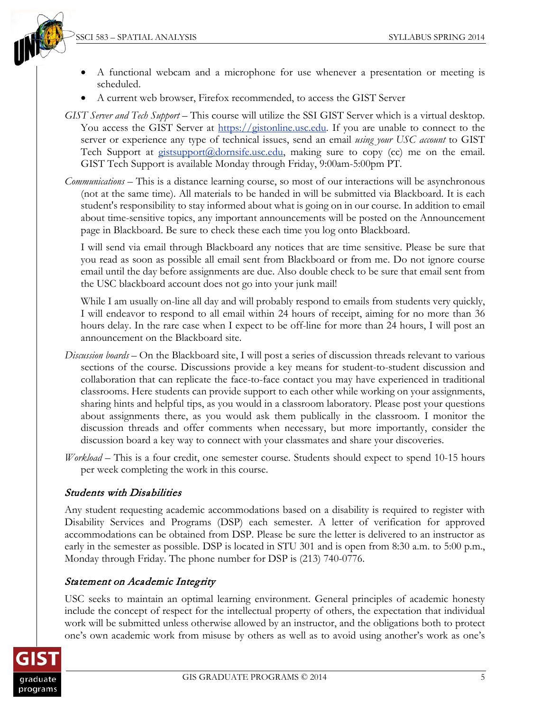

- A functional webcam and a microphone for use whenever a presentation or meeting is scheduled.
- A current web browser, Firefox recommended, to access the GIST Server
- *GIST Server and Tech Support* This course will utilize the SSI GIST Server which is a virtual desktop. You access the GIST Server at [https://gistonline.usc.edu.](https://gistonline.usc.edu/) If you are unable to connect to the server or experience any type of technical issues, send an email *using your USC account* to GIST Tech Support at gistsupport (*Q*, dornsife.usc.edu, making sure to copy (cc) me on the email. GIST Tech Support is available Monday through Friday, 9:00am-5:00pm PT.
- *Communications* This is a distance learning course, so most of our interactions will be asynchronous (not at the same time). All materials to be handed in will be submitted via Blackboard. It is each student's responsibility to stay informed about what is going on in our course. In addition to email about time-sensitive topics, any important announcements will be posted on the Announcement page in Blackboard. Be sure to check these each time you log onto Blackboard.

I will send via email through Blackboard any notices that are time sensitive. Please be sure that you read as soon as possible all email sent from Blackboard or from me. Do not ignore course email until the day before assignments are due. Also double check to be sure that email sent from the USC blackboard account does not go into your junk mail!

While I am usually on-line all day and will probably respond to emails from students very quickly, I will endeavor to respond to all email within 24 hours of receipt, aiming for no more than 36 hours delay. In the rare case when I expect to be off-line for more than 24 hours, I will post an announcement on the Blackboard site.

- *Discussion boards* On the Blackboard site, I will post a series of discussion threads relevant to various sections of the course. Discussions provide a key means for student-to-student discussion and collaboration that can replicate the face-to-face contact you may have experienced in traditional classrooms. Here students can provide support to each other while working on your assignments, sharing hints and helpful tips, as you would in a classroom laboratory. Please post your questions about assignments there, as you would ask them publically in the classroom. I monitor the discussion threads and offer comments when necessary, but more importantly, consider the discussion board a key way to connect with your classmates and share your discoveries.
- *Workload* This is a four credit, one semester course. Students should expect to spend 10-15 hours per week completing the work in this course.

## Students with Disabilities

Any student requesting academic accommodations based on a disability is required to register with Disability Services and Programs (DSP) each semester. A letter of verification for approved accommodations can be obtained from DSP. Please be sure the letter is delivered to an instructor as early in the semester as possible. DSP is located in STU 301 and is open from 8:30 a.m. to 5:00 p.m., Monday through Friday. The phone number for DSP is (213) 740-0776.

## Statement on Academic Integrity

USC seeks to maintain an optimal learning environment. General principles of academic honesty include the concept of respect for the intellectual property of others, the expectation that individual work will be submitted unless otherwise allowed by an instructor, and the obligations both to protect one's own academic work from misuse by others as well as to avoid using another's work as one's

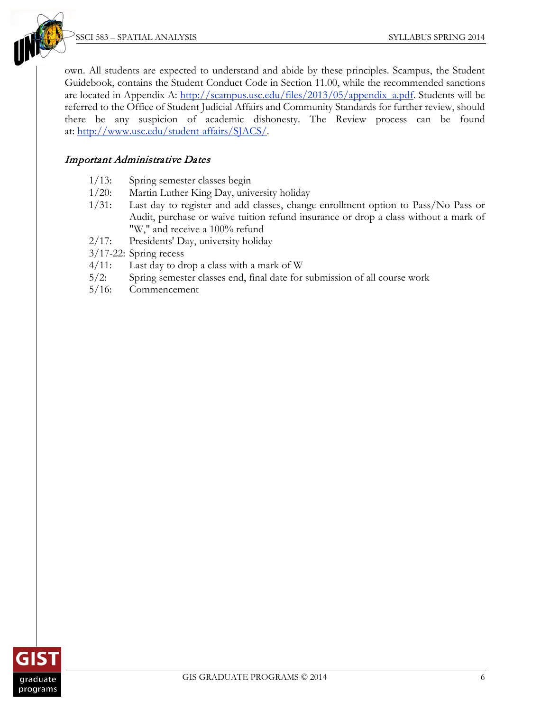SSCI 583 – SPATIAL ANALYSIS SYLLABUS SPRING 2014



own. All students are expected to understand and abide by these principles. Scampus, the Student Guidebook, contains the Student Conduct Code in Section 11.00, while the recommended sanctions are located in Appendix A: [http://scampus.usc.edu/files/2013/05/appendix\\_a.pdf.](http://scampus.usc.edu/files/2013/05/appendix_a.pdf) Students will be referred to the Office of Student Judicial Affairs and Community Standards for further review, should there be any suspicion of academic dishonesty. The Review process can be found at: [http://www.usc.edu/student-affairs/SJACS/.](http://www.usc.edu/student-affairs/SJACS/)

# Important Administrative Dates

- 1/13: Spring semester classes begin
- 1/20: Martin Luther King Day, university holiday
- 1/31: Last day to register and add classes, change enrollment option to Pass/No Pass or Audit, purchase or waive tuition refund insurance or drop a class without a mark of "W," and receive a 100% refund
- 2/17: Presidents' Day, university holiday
- 3/17-22: Spring recess
- 4/11: Last day to drop a class with a mark of W
- 5/2: Spring semester classes end, final date for submission of all course work
- 5/16: Commencement